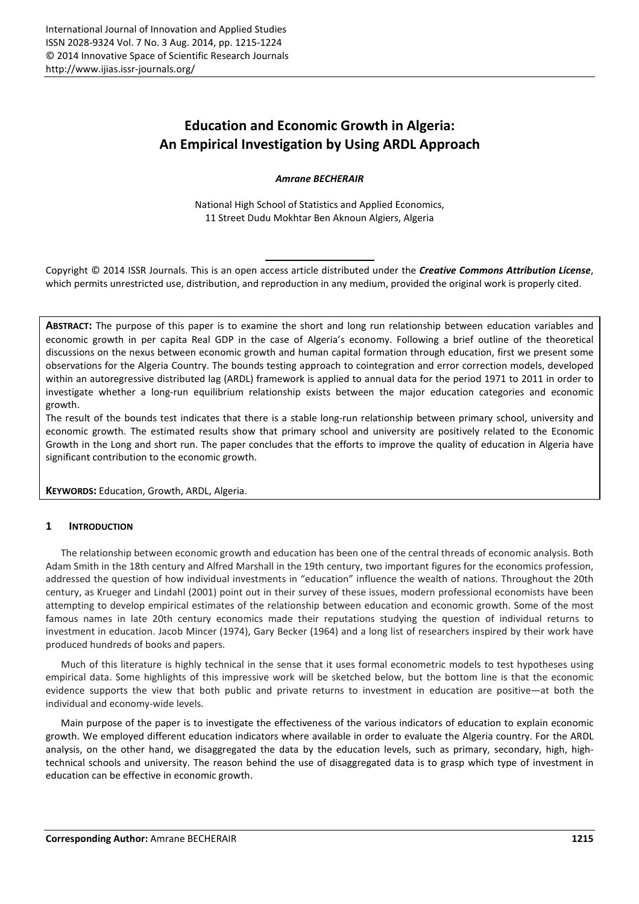# **Education and Economic Growth in Algeria: An Empirical Investigation by Using ARDL Approach**

### *Amrane BECHERAIR*

National High School of Statistics and Applied Economics, 11 Street Dudu Mokhtar Ben Aknoun Algiers, Algeria

Copyright © 2014 ISSR Journals. This is an open access article distributed under the *Creative Commons Attribution License*, which permits unrestricted use, distribution, and reproduction in any medium, provided the original work is properly cited.

**ABSTRACT:** The purpose of this paper is to examine the short and long run relationship between education variables and economic growth in per capita Real GDP in the case of Algeria's economy. Following a brief outline of the theoretical discussions on the nexus between economic growth and human capital formation through education, first we present some observations for the Algeria Country. The bounds testing approach to cointegration and error correction models, developed within an autoregressive distributed lag (ARDL) framework is applied to annual data for the period 1971 to 2011 in order to investigate whether a long-run equilibrium relationship exists between the major education categories and economic growth.

The result of the bounds test indicates that there is a stable long-run relationship between primary school, university and economic growth. The estimated results show that primary school and university are positively related to the Economic Growth in the Long and short run. The paper concludes that the efforts to improve the quality of education in Algeria have significant contribution to the economic growth.

**KEYWORDS:** Education, Growth, ARDL, Algeria.

# **1 INTRODUCTION**

The relationship between economic growth and education has been one of the central threads of economic analysis. Both Adam Smith in the 18th century and Alfred Marshall in the 19th century, two important figures for the economics profession, addressed the question of how individual investments in "education" influence the wealth of nations. Throughout the 20th century, as Krueger and Lindahl (2001) point out in their survey of these issues, modern professional economists have been attempting to develop empirical estimates of the relationship between education and economic growth. Some of the most famous names in late 20th century economics made their reputations studying the question of individual returns to investment in education. Jacob Mincer (1974), Gary Becker (1964) and a long list of researchers inspired by their work have produced hundreds of books and papers.

Much of this literature is highly technical in the sense that it uses formal econometric models to test hypotheses using empirical data. Some highlights of this impressive work will be sketched below, but the bottom line is that the economic evidence supports the view that both public and private returns to investment in education are positive—at both the individual and economy-wide levels.

Main purpose of the paper is to investigate the effectiveness of the various indicators of education to explain economic growth. We employed different education indicators where available in order to evaluate the Algeria country. For the ARDL analysis, on the other hand, we disaggregated the data by the education levels, such as primary, secondary, high, hightechnical schools and university. The reason behind the use of disaggregated data is to grasp which type of investment in education can be effective in economic growth.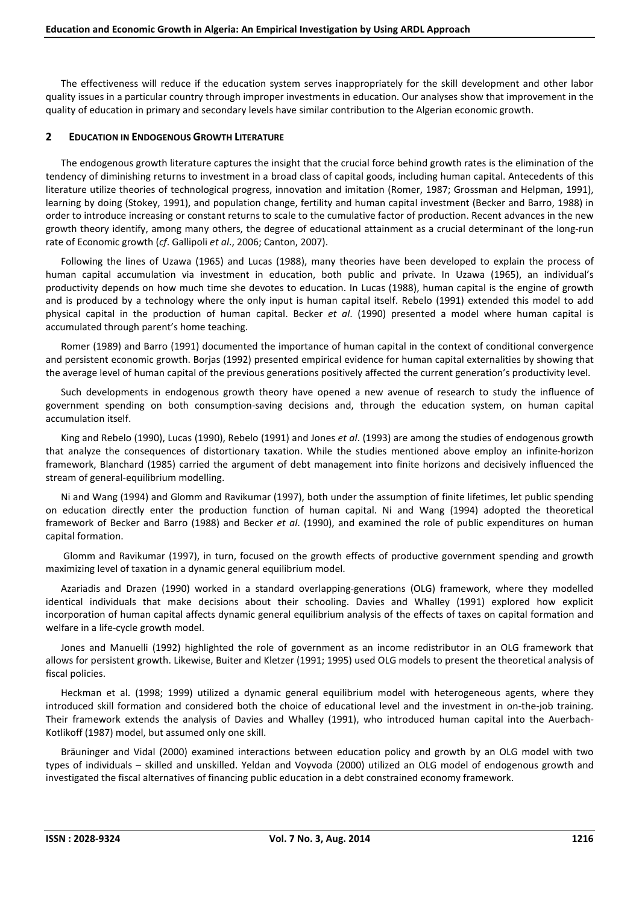The effectiveness will reduce if the education system serves inappropriately for the skill development and other labor quality issues in a particular country through improper investments in education. Our analyses show that improvement in the quality of education in primary and secondary levels have similar contribution to the Algerian economic growth.

#### **2 EDUCATION IN ENDOGENOUS GROWTH LITERATURE**

The endogenous growth literature captures the insight that the crucial force behind growth rates is the elimination of the tendency of diminishing returns to investment in a broad class of capital goods, including human capital. Antecedents of this literature utilize theories of technological progress, innovation and imitation (Romer, 1987; Grossman and Helpman, 1991), learning by doing (Stokey, 1991), and population change, fertility and human capital investment (Becker and Barro, 1988) in order to introduce increasing or constant returns to scale to the cumulative factor of production. Recent advances in the new growth theory identify, among many others, the degree of educational attainment as a crucial determinant of the long-run rate of Economic growth (*cf*. Gallipoli *et al*., 2006; Canton, 2007).

Following the lines of Uzawa (1965) and Lucas (1988), many theories have been developed to explain the process of human capital accumulation via investment in education, both public and private. In Uzawa (1965), an individual's productivity depends on how much time she devotes to education. In Lucas (1988), human capital is the engine of growth and is produced by a technology where the only input is human capital itself. Rebelo (1991) extended this model to add physical capital in the production of human capital. Becker *et al*. (1990) presented a model where human capital is accumulated through parent's home teaching.

Romer (1989) and Barro (1991) documented the importance of human capital in the context of conditional convergence and persistent economic growth. Borjas (1992) presented empirical evidence for human capital externalities by showing that the average level of human capital of the previous generations positively affected the current generation's productivity level.

Such developments in endogenous growth theory have opened a new avenue of research to study the influence of government spending on both consumption-saving decisions and, through the education system, on human capital accumulation itself.

King and Rebelo (1990), Lucas (1990), Rebelo (1991) and Jones *et al*. (1993) are among the studies of endogenous growth that analyze the consequences of distortionary taxation. While the studies mentioned above employ an infinite-horizon framework, Blanchard (1985) carried the argument of debt management into finite horizons and decisively influenced the stream of general-equilibrium modelling.

Ni and Wang (1994) and Glomm and Ravikumar (1997), both under the assumption of finite lifetimes, let public spending on education directly enter the production function of human capital. Ni and Wang (1994) adopted the theoretical framework of Becker and Barro (1988) and Becker *et al*. (1990), and examined the role of public expenditures on human capital formation.

 Glomm and Ravikumar (1997), in turn, focused on the growth effects of productive government spending and growth maximizing level of taxation in a dynamic general equilibrium model.

Azariadis and Drazen (1990) worked in a standard overlapping-generations (OLG) framework, where they modelled identical individuals that make decisions about their schooling. Davies and Whalley (1991) explored how explicit incorporation of human capital affects dynamic general equilibrium analysis of the effects of taxes on capital formation and welfare in a life-cycle growth model.

Jones and Manuelli (1992) highlighted the role of government as an income redistributor in an OLG framework that allows for persistent growth. Likewise, Buiter and Kletzer (1991; 1995) used OLG models to present the theoretical analysis of fiscal policies.

Heckman et al. (1998; 1999) utilized a dynamic general equilibrium model with heterogeneous agents, where they introduced skill formation and considered both the choice of educational level and the investment in on-the-job training. Their framework extends the analysis of Davies and Whalley (1991), who introduced human capital into the Auerbach-Kotlikoff (1987) model, but assumed only one skill.

Bräuninger and Vidal (2000) examined interactions between education policy and growth by an OLG model with two types of individuals – skilled and unskilled. Yeldan and Voyvoda (2000) utilized an OLG model of endogenous growth and investigated the fiscal alternatives of financing public education in a debt constrained economy framework.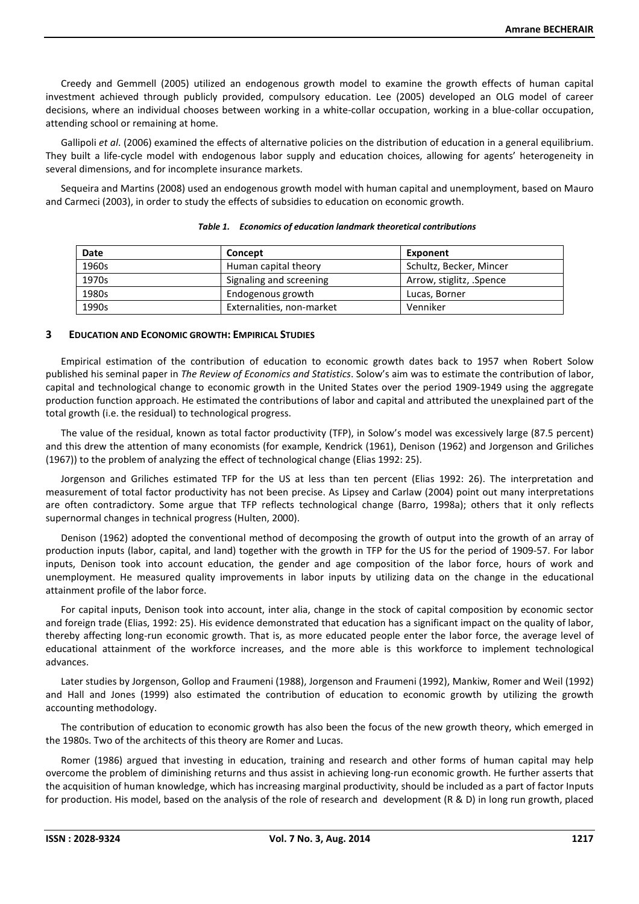Creedy and Gemmell (2005) utilized an endogenous growth model to examine the growth effects of human capital investment achieved through publicly provided, compulsory education. Lee (2005) developed an OLG model of career decisions, where an individual chooses between working in a white-collar occupation, working in a blue-collar occupation, attending school or remaining at home.

Gallipoli *et al*. (2006) examined the effects of alternative policies on the distribution of education in a general equilibrium. They built a life-cycle model with endogenous labor supply and education choices, allowing for agents' heterogeneity in several dimensions, and for incomplete insurance markets.

Sequeira and Martins (2008) used an endogenous growth model with human capital and unemployment, based on Mauro and Carmeci (2003), in order to study the effects of subsidies to education on economic growth.

| Date  | Concept                   | Exponent                 |
|-------|---------------------------|--------------------------|
| 1960s | Human capital theory      | Schultz, Becker, Mincer  |
| 1970s | Signaling and screening   | Arrow, stiglitz, .Spence |
| 1980s | Endogenous growth         | Lucas, Borner            |
| 1990s | Externalities, non-market | Venniker                 |

#### **3 EDUCATION AND ECONOMIC GROWTH: EMPIRICAL STUDIES**

Empirical estimation of the contribution of education to economic growth dates back to 1957 when Robert Solow published his seminal paper in *The Review of Economics and Statistics*. Solow's aim was to estimate the contribution of labor, capital and technological change to economic growth in the United States over the period 1909-1949 using the aggregate production function approach. He estimated the contributions of labor and capital and attributed the unexplained part of the total growth (i.e. the residual) to technological progress.

The value of the residual, known as total factor productivity (TFP), in Solow's model was excessively large (87.5 percent) and this drew the attention of many economists (for example, Kendrick (1961), Denison (1962) and Jorgenson and Griliches (1967)) to the problem of analyzing the effect of technological change (Elias 1992: 25).

Jorgenson and Griliches estimated TFP for the US at less than ten percent (Elias 1992: 26). The interpretation and measurement of total factor productivity has not been precise. As Lipsey and Carlaw (2004) point out many interpretations are often contradictory. Some argue that TFP reflects technological change (Barro, 1998a); others that it only reflects supernormal changes in technical progress (Hulten, 2000).

Denison (1962) adopted the conventional method of decomposing the growth of output into the growth of an array of production inputs (labor, capital, and land) together with the growth in TFP for the US for the period of 1909-57. For labor inputs, Denison took into account education, the gender and age composition of the labor force, hours of work and unemployment. He measured quality improvements in labor inputs by utilizing data on the change in the educational attainment profile of the labor force.

For capital inputs, Denison took into account, inter alia, change in the stock of capital composition by economic sector and foreign trade (Elias, 1992: 25). His evidence demonstrated that education has a significant impact on the quality of labor, thereby affecting long-run economic growth. That is, as more educated people enter the labor force, the average level of educational attainment of the workforce increases, and the more able is this workforce to implement technological advances.

Later studies by Jorgenson, Gollop and Fraumeni (1988), Jorgenson and Fraumeni (1992), Mankiw, Romer and Weil (1992) and Hall and Jones (1999) also estimated the contribution of education to economic growth by utilizing the growth accounting methodology.

The contribution of education to economic growth has also been the focus of the new growth theory, which emerged in the 1980s. Two of the architects of this theory are Romer and Lucas.

Romer (1986) argued that investing in education, training and research and other forms of human capital may help overcome the problem of diminishing returns and thus assist in achieving long-run economic growth. He further asserts that the acquisition of human knowledge, which has increasing marginal productivity, should be included as a part of factor Inputs for production. His model, based on the analysis of the role of research and development (R & D) in long run growth, placed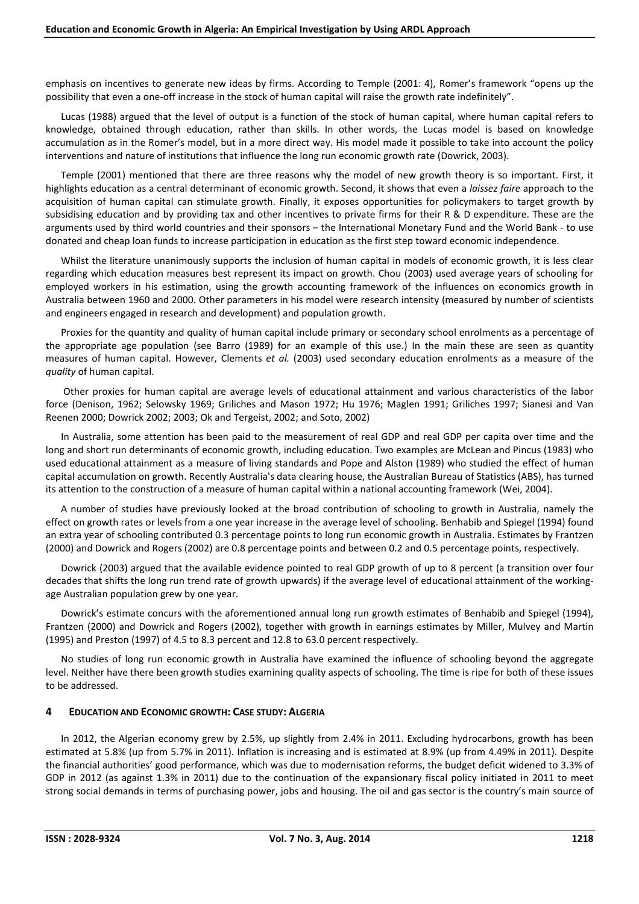emphasis on incentives to generate new ideas by firms. According to Temple (2001: 4), Romer's framework "opens up the possibility that even a one-off increase in the stock of human capital will raise the growth rate indefinitely".

Lucas (1988) argued that the level of output is a function of the stock of human capital, where human capital refers to knowledge, obtained through education, rather than skills. In other words, the Lucas model is based on knowledge accumulation as in the Romer's model, but in a more direct way. His model made it possible to take into account the policy interventions and nature of institutions that influence the long run economic growth rate (Dowrick, 2003).

Temple (2001) mentioned that there are three reasons why the model of new growth theory is so important. First, it highlights education as a central determinant of economic growth. Second, it shows that even a *laissez faire* approach to the acquisition of human capital can stimulate growth. Finally, it exposes opportunities for policymakers to target growth by subsidising education and by providing tax and other incentives to private firms for their R & D expenditure. These are the arguments used by third world countries and their sponsors – the International Monetary Fund and the World Bank - to use donated and cheap loan funds to increase participation in education as the first step toward economic independence.

Whilst the literature unanimously supports the inclusion of human capital in models of economic growth, it is less clear regarding which education measures best represent its impact on growth. Chou (2003) used average years of schooling for employed workers in his estimation, using the growth accounting framework of the influences on economics growth in Australia between 1960 and 2000. Other parameters in his model were research intensity (measured by number of scientists and engineers engaged in research and development) and population growth.

Proxies for the quantity and quality of human capital include primary or secondary school enrolments as a percentage of the appropriate age population (see Barro (1989) for an example of this use.) In the main these are seen as quantity measures of human capital. However, Clements *et al.* (2003) used secondary education enrolments as a measure of the *quality* of human capital.

 Other proxies for human capital are average levels of educational attainment and various characteristics of the labor force (Denison, 1962; Selowsky 1969; Griliches and Mason 1972; Hu 1976; Maglen 1991; Griliches 1997; Sianesi and Van Reenen 2000; Dowrick 2002; 2003; Ok and Tergeist, 2002; and Soto, 2002)

In Australia, some attention has been paid to the measurement of real GDP and real GDP per capita over time and the long and short run determinants of economic growth, including education. Two examples are McLean and Pincus (1983) who used educational attainment as a measure of living standards and Pope and Alston (1989) who studied the effect of human capital accumulation on growth. Recently Australia's data clearing house, the Australian Bureau of Statistics (ABS), has turned its attention to the construction of a measure of human capital within a national accounting framework (Wei, 2004).

A number of studies have previously looked at the broad contribution of schooling to growth in Australia, namely the effect on growth rates or levels from a one year increase in the average level of schooling. Benhabib and Spiegel (1994) found an extra year of schooling contributed 0.3 percentage points to long run economic growth in Australia. Estimates by Frantzen (2000) and Dowrick and Rogers (2002) are 0.8 percentage points and between 0.2 and 0.5 percentage points, respectively.

Dowrick (2003) argued that the available evidence pointed to real GDP growth of up to 8 percent (a transition over four decades that shifts the long run trend rate of growth upwards) if the average level of educational attainment of the workingage Australian population grew by one year.

Dowrick's estimate concurs with the aforementioned annual long run growth estimates of Benhabib and Spiegel (1994), Frantzen (2000) and Dowrick and Rogers (2002), together with growth in earnings estimates by Miller, Mulvey and Martin (1995) and Preston (1997) of 4.5 to 8.3 percent and 12.8 to 63.0 percent respectively.

No studies of long run economic growth in Australia have examined the influence of schooling beyond the aggregate level. Neither have there been growth studies examining quality aspects of schooling. The time is ripe for both of these issues to be addressed.

# **4 EDUCATION AND ECONOMIC GROWTH: CASE STUDY: ALGERIA**

In 2012, the Algerian economy grew by 2.5%, up slightly from 2.4% in 2011. Excluding hydrocarbons, growth has been estimated at 5.8% (up from 5.7% in 2011). Inflation is increasing and is estimated at 8.9% (up from 4.49% in 2011). Despite the financial authorities' good performance, which was due to modernisation reforms, the budget deficit widened to 3.3% of GDP in 2012 (as against 1.3% in 2011) due to the continuation of the expansionary fiscal policy initiated in 2011 to meet strong social demands in terms of purchasing power, jobs and housing. The oil and gas sector is the country's main source of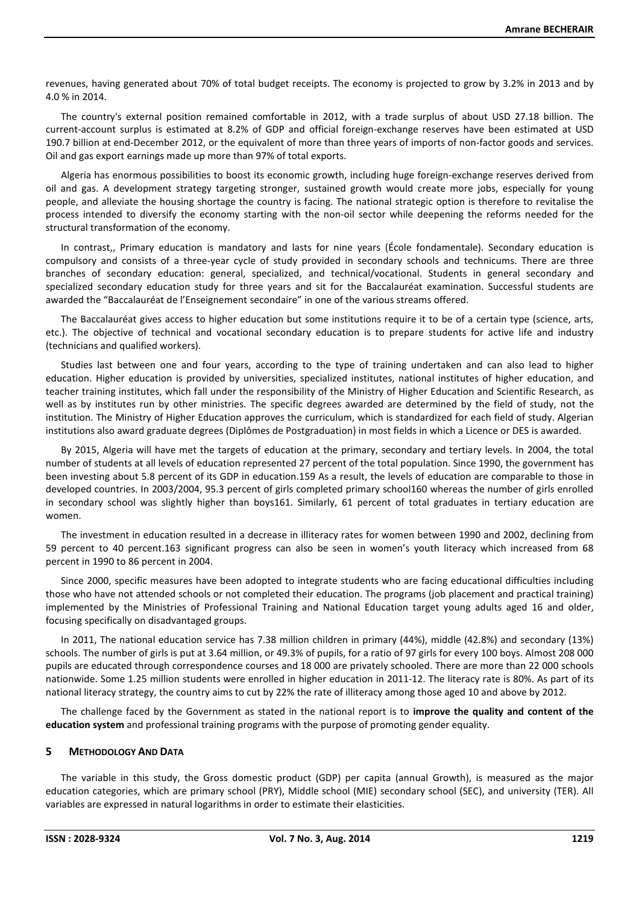revenues, having generated about 70% of total budget receipts. The economy is projected to grow by 3.2% in 2013 and by 4.0 % in 2014.

The country's external position remained comfortable in 2012, with a trade surplus of about USD 27.18 billion. The current-account surplus is estimated at 8.2% of GDP and official foreign-exchange reserves have been estimated at USD 190.7 billion at end-December 2012, or the equivalent of more than three years of imports of non-factor goods and services. Oil and gas export earnings made up more than 97% of total exports.

Algeria has enormous possibilities to boost its economic growth, including huge foreign-exchange reserves derived from oil and gas. A development strategy targeting stronger, sustained growth would create more jobs, especially for young people, and alleviate the housing shortage the country is facing. The national strategic option is therefore to revitalise the process intended to diversify the economy starting with the non-oil sector while deepening the reforms needed for the structural transformation of the economy.

In contrast,, Primary education is mandatory and lasts for nine years (École fondamentale). Secondary education is compulsory and consists of a three-year cycle of study provided in secondary schools and technicums. There are three branches of secondary education: general, specialized, and technical/vocational. Students in general secondary and specialized secondary education study for three years and sit for the Baccalauréat examination. Successful students are awarded the "Baccalauréat de l'Enseignement secondaire" in one of the various streams offered.

The Baccalauréat gives access to higher education but some institutions require it to be of a certain type (science, arts, etc.). The objective of technical and vocational secondary education is to prepare students for active life and industry (technicians and qualified workers).

Studies last between one and four years, according to the type of training undertaken and can also lead to higher education. Higher education is provided by universities, specialized institutes, national institutes of higher education, and teacher training institutes, which fall under the responsibility of the Ministry of Higher Education and Scientific Research, as well as by institutes run by other ministries. The specific degrees awarded are determined by the field of study, not the institution. The Ministry of Higher Education approves the curriculum, which is standardized for each field of study. Algerian institutions also award graduate degrees (Diplômes de Postgraduation) in most fields in which a Licence or DES is awarded.

By 2015, Algeria will have met the targets of education at the primary, secondary and tertiary levels. In 2004, the total number of students at all levels of education represented 27 percent of the total population. Since 1990, the government has been investing about 5.8 percent of its GDP in education.159 As a result, the levels of education are comparable to those in developed countries. In 2003/2004, 95.3 percent of girls completed primary school160 whereas the number of girls enrolled in secondary school was slightly higher than boys161. Similarly, 61 percent of total graduates in tertiary education are women.

The investment in education resulted in a decrease in illiteracy rates for women between 1990 and 2002, declining from 59 percent to 40 percent.163 significant progress can also be seen in women's youth literacy which increased from 68 percent in 1990 to 86 percent in 2004.

Since 2000, specific measures have been adopted to integrate students who are facing educational difficulties including those who have not attended schools or not completed their education. The programs (job placement and practical training) implemented by the Ministries of Professional Training and National Education target young adults aged 16 and older, focusing specifically on disadvantaged groups.

In 2011, The national education service has 7.38 million children in primary (44%), middle (42.8%) and secondary (13%) schools. The number of girls is put at 3.64 million, or 49.3% of pupils, for a ratio of 97 girls for every 100 boys. Almost 208 000 pupils are educated through correspondence courses and 18 000 are privately schooled. There are more than 22 000 schools nationwide. Some 1.25 million students were enrolled in higher education in 2011-12. The literacy rate is 80%. As part of its national literacy strategy, the country aims to cut by 22% the rate of illiteracy among those aged 10 and above by 2012.

The challenge faced by the Government as stated in the national report is to **improve the quality and content of the education system** and professional training programs with the purpose of promoting gender equality.

# **5 METHODOLOGY AND DATA**

The variable in this study, the Gross domestic product (GDP) per capita (annual Growth), is measured as the major education categories, which are primary school (PRY), Middle school (MIE) secondary school (SEC), and university (TER). All variables are expressed in natural logarithms in order to estimate their elasticities.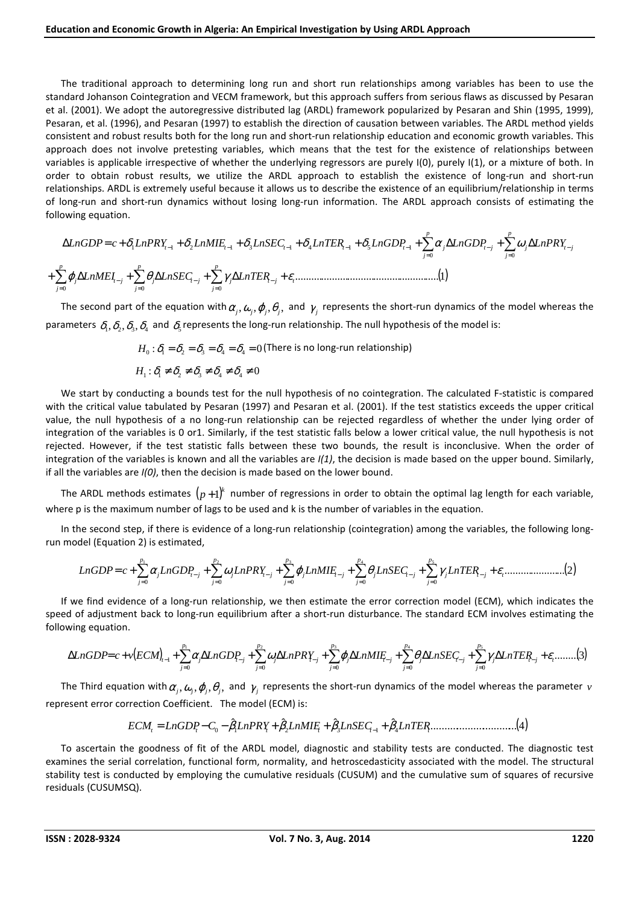The traditional approach to determining long run and short run relationships among variables has been to use the standard Johanson Cointegration and VECM framework, but this approach suffers from serious flaws as discussed by Pesaran et al. (2001). We adopt the autoregressive distributed lag (ARDL) framework popularized by Pesaran and Shin (1995, 1999), Pesaran, et al. (1996), and Pesaran (1997) to establish the direction of causation between variables. The ARDL method yields consistent and robust results both for the long run and short-run relationship education and economic growth variables. This approach does not involve pretesting variables, which means that the test for the existence of relationships between variables is applicable irrespective of whether the underlying regressors are purely I(0), purely I(1), or a mixture of both. In order to obtain robust results, we utilize the ARDL approach to establish the existence of long-run and short-run relationships. ARDL is extremely useful because it allows us to describe the existence of an equilibrium/relationship in terms of long-run and short-run dynamics without losing long-run information. The ARDL approach consists of estimating the following equation.

∑ ∑ = = ∆ = + <sup>−</sup> + <sup>−</sup> + <sup>−</sup> + <sup>−</sup> + <sup>−</sup> + ∆ <sup>−</sup> + ∆ <sup>−</sup> *p j p j LnPRY<sup>t</sup> LnMIE<sup>t</sup> LnSEC<sup>t</sup> LnTER<sup>t</sup> LnGDP<sup>t</sup> <sup>j</sup> LnGDP jt <sup>j</sup> LnPRY jt LnGDP c* 0 0 <sup>δ</sup> <sup>1</sup> <sup>1</sup> <sup>δ</sup> <sup>2</sup> <sup>1</sup> <sup>δ</sup> <sup>3</sup> <sup>1</sup> <sup>δ</sup> <sup>4</sup> <sup>1</sup> <sup>δ</sup> <sup>5</sup> <sup>1</sup> <sup>α</sup> <sup>ω</sup> .......................................................( ) 1 0 0 0 ∑ ∑ ∑= − = = + ∆ <sup>−</sup> + ∆ <sup>−</sup> + ∆ + *p j j jt t p j p j* <sup>ϕ</sup> *<sup>j</sup> LnMEI jt* <sup>θ</sup> *<sup>j</sup> LnSEC jt* γ *LnTER* <sup>ε</sup>

The second part of the equation with  $\alpha_j,\omega_j,\phi_j,\theta_j,$  and  $\gamma_j$  represents the short-run dynamics of the model whereas the parameters  $\delta_1, \delta_2, \delta_3, \delta_4$  and  $\delta_5$  represents the long-run relationship. The null hypothesis of the model is:

$$
H_0: \delta_1 = \delta_2 = \delta_3 = \delta_4 = \delta_4 = 0
$$
 (There is no long-run relationship)

$$
H_1: \delta_1 \neq \delta_2 \neq \delta_3 \neq \delta_4 \neq \delta_4 \neq 0
$$

We start by conducting a bounds test for the null hypothesis of no cointegration. The calculated F-statistic is compared with the critical value tabulated by Pesaran (1997) and Pesaran et al. (2001). If the test statistics exceeds the upper critical value, the null hypothesis of a no long-run relationship can be rejected regardless of whether the under lying order of integration of the variables is 0 or1. Similarly, if the test statistic falls below a lower critical value, the null hypothesis is not rejected. However, if the test statistic falls between these two bounds, the result is inconclusive. When the order of integration of the variables is known and all the variables are *I(1)*, the decision is made based on the upper bound. Similarly, if all the variables are *I(0)*, then the decision is made based on the lower bound.

The ARDL methods estimates  $(p+1)^k$  number of regressions in order to obtain the optimal lag length for each variable, where p is the maximum number of lags to be used and k is the number of variables in the equation.

In the second step, if there is evidence of a long-run relationship (cointegration) among the variables, the following longrun model (Equation 2) is estimated,

.................... ( ) 2... 1 2 3 4 5 0 0 0 0 0 ∑ ∑ ∑ ∑ ∑= − = − − = = = = + <sup>−</sup> + <sup>−</sup> + + + + *p j j jt t p j jt j jt p j j p j p j LnGDP c* <sup>α</sup> *<sup>j</sup>LnGDP jt* <sup>ω</sup>*jLnPRY jt* <sup>ϕ</sup> *LnMIE* <sup>θ</sup> *LnSEC* <sup>γ</sup> *LnTER* <sup>ε</sup>

If we find evidence of a long-run relationship, we then estimate the error correction model (ECM), which indicates the speed of adjustment back to long-run equilibrium after a short-run disturbance. The standard ECM involves estimating the following equation.

$$
\Delta InGDP = c + v(ECM)_{t-1} + \sum_{j=0}^{p_1} \alpha_j \Delta InGDP_{t-j} + \sum_{j=0}^{p_2} \omega_j \Delta InPRY_{-j} + \sum_{j=0}^{p_3} \varphi_j \Delta InMIF_{t-j} + \sum_{j=0}^{p_4} \theta_j \Delta InSEG_{-j} + \sum_{j=0}^{p_5} \gamma_j \Delta InTER_{-j} + \varepsilon, \dots \dots (3)
$$

The Third equation with  $\alpha_j,\omega_j,\phi_j,\theta_j,$  and  $\gamma_j$  represents the short-run dynamics of the model whereas the parameter  $\nu$ represent error correction Coefficient. The model (ECM) is:

$$
ECM_t = LnGDP_t - C_0 - \hat{\beta}_1 LnPRY_t + \hat{\beta}_2 LnMIE_t + \hat{\beta}_3 LnSEC_{t-1} + \hat{\beta}_4 LnTER
$$
.................(4)

To ascertain the goodness of fit of the ARDL model, diagnostic and stability tests are conducted. The diagnostic test examines the serial correlation, functional form, normality, and hetroscedasticity associated with the model. The structural stability test is conducted by employing the cumulative residuals (CUSUM) and the cumulative sum of squares of recursive residuals (CUSUMSQ).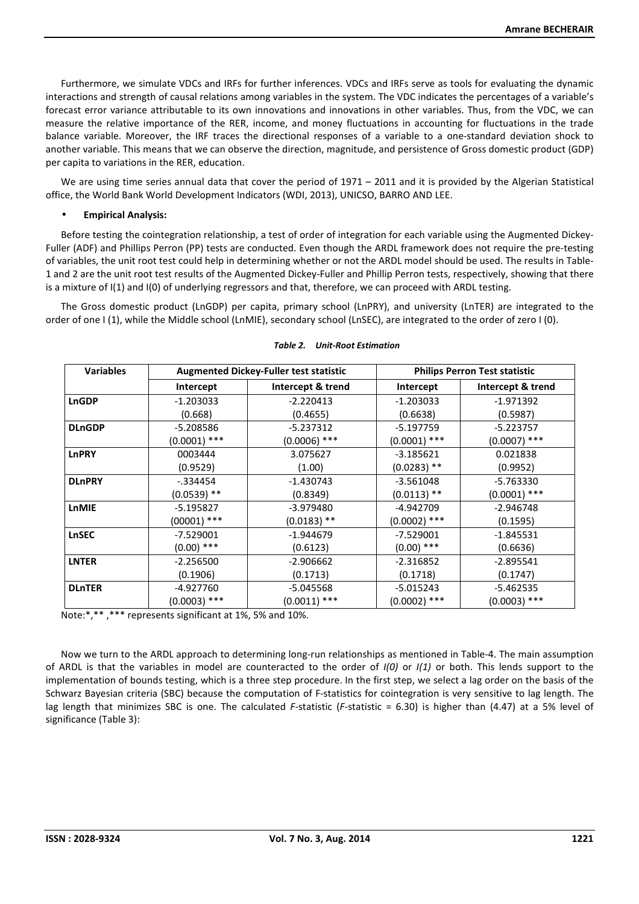Furthermore, we simulate VDCs and IRFs for further inferences. VDCs and IRFs serve as tools for evaluating the dynamic interactions and strength of causal relations among variables in the system. The VDC indicates the percentages of a variable's forecast error variance attributable to its own innovations and innovations in other variables. Thus, from the VDC, we can measure the relative importance of the RER, income, and money fluctuations in accounting for fluctuations in the trade balance variable. Moreover, the IRF traces the directional responses of a variable to a one-standard deviation shock to another variable. This means that we can observe the direction, magnitude, and persistence of Gross domestic product (GDP) per capita to variations in the RER, education.

We are using time series annual data that cover the period of 1971 – 2011 and it is provided by the Algerian Statistical office, the World Bank World Development Indicators (WDI, 2013), UNICSO, BARRO AND LEE.

#### • **Empirical Analysis:**

Before testing the cointegration relationship, a test of order of integration for each variable using the Augmented Dickey-Fuller (ADF) and Phillips Perron (PP) tests are conducted. Even though the ARDL framework does not require the pre-testing of variables, the unit root test could help in determining whether or not the ARDL model should be used. The results in Table-1 and 2 are the unit root test results of the Augmented Dickey-Fuller and Phillip Perron tests, respectively, showing that there is a mixture of I(1) and I(0) of underlying regressors and that, therefore, we can proceed with ARDL testing.

The Gross domestic product (LnGDP) per capita, primary school (LnPRY), and university (LnTER) are integrated to the order of one I (1), while the Middle school (LnMIE), secondary school (LnSEC), are integrated to the order of zero I (0).

| <b>Variables</b> | <b>Augmented Dickey-Fuller test statistic</b> |                   | <b>Philips Perron Test statistic</b> |                   |
|------------------|-----------------------------------------------|-------------------|--------------------------------------|-------------------|
|                  | Intercept                                     | Intercept & trend | Intercept                            | Intercept & trend |
| LnGDP            | $-1.203033$                                   | $-2.220413$       | $-1.203033$                          | -1.971392         |
|                  | (0.668)                                       | (0.4655)          | (0.6638)                             | (0.5987)          |
| <b>DLnGDP</b>    | $-5.208586$                                   | $-5.237312$       | $-5.197759$                          | $-5.223757$       |
|                  | $(0.0001)$ ***                                | $(0.0006)$ ***    | $(0.0001)$ ***                       | $(0.0007)$ ***    |
| LnPRY            | 0003444                                       | 3.075627          | $-3.185621$                          | 0.021838          |
|                  | (0.9529)                                      | (1.00)            | $(0.0283)$ **                        | (0.9952)          |
| <b>DLnPRY</b>    | $-334454$                                     | $-1.430743$       | $-3.561048$                          | $-5.763330$       |
|                  | $(0.0539)$ **                                 | (0.8349)          | $(0.0113)$ **                        | $(0.0001)$ ***    |
| <b>LnMIE</b>     | $-5.195827$                                   | $-3.979480$       | -4.942709                            | $-2.946748$       |
|                  | $(00001)$ ***                                 | $(0.0183)$ **     | $(0.0002)$ ***                       | (0.1595)          |
| <b>LnSEC</b>     | $-7.529001$                                   | $-1.944679$       | $-7.529001$                          | $-1.845531$       |
|                  | $(0.00)$ ***                                  | (0.6123)          | $(0.00)$ ***                         | (0.6636)          |
| <b>LNTER</b>     | $-2.256500$                                   | $-2.906662$       | $-2.316852$                          | $-2.895541$       |
|                  | (0.1906)                                      | (0.1713)          | (0.1718)                             | (0.1747)          |
| <b>DLnTER</b>    | $-4.927760$                                   | $-5.045568$       | $-5.015243$                          | $-5.462535$       |
|                  | $(0.0003)$ ***                                | (0.0011) ***      | $(0.0002)$ ***                       | $(0.0003)$ ***    |

#### *Table 2. Unit-Root Estimation*

Note:\*,\*\* ,\*\*\* represents significant at 1%, 5% and 10%.

Now we turn to the ARDL approach to determining long-run relationships as mentioned in Table-4. The main assumption of ARDL is that the variables in model are counteracted to the order of *I(0)* or *I(1)* or both. This lends support to the implementation of bounds testing, which is a three step procedure. In the first step, we select a lag order on the basis of the Schwarz Bayesian criteria (SBC) because the computation of F-statistics for cointegration is very sensitive to lag length. The lag length that minimizes SBC is one. The calculated *F*-statistic (*F*-statistic = 6.30) is higher than (4.47) at a 5% level of significance (Table 3):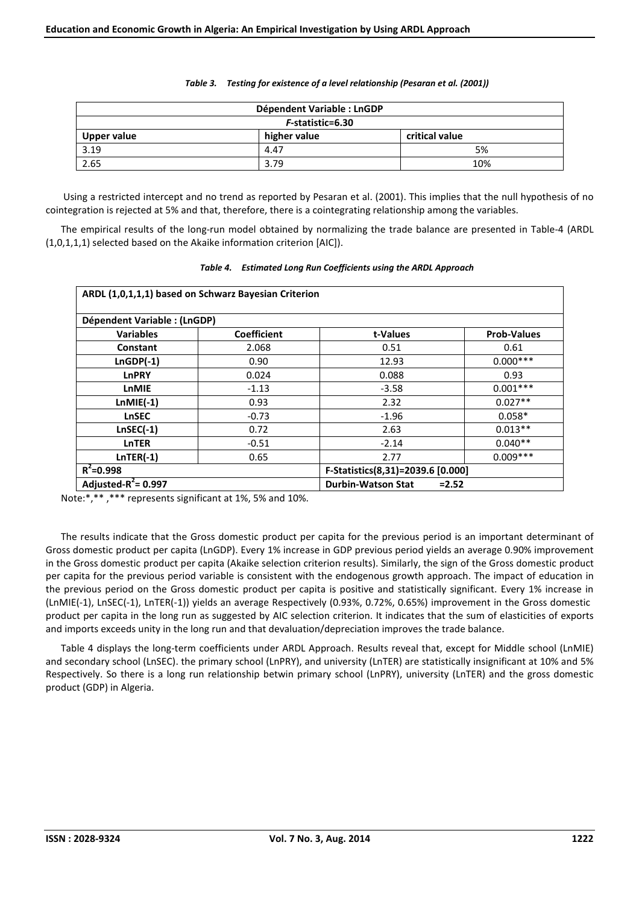| Dépendent Variable : LnGDP |              |                |  |
|----------------------------|--------------|----------------|--|
| F-statistic=6.30           |              |                |  |
| Upper value                | higher value | critical value |  |
| 3.19                       | 4.47         | 5%             |  |
| 2.65                       | 3.79         | 10%            |  |

#### *Table 3. Testing for existence of a level relationship (Pesaran et al. (2001))*

 Using a restricted intercept and no trend as reported by Pesaran et al. (2001). This implies that the null hypothesis of no cointegration is rejected at 5% and that, therefore, there is a cointegrating relationship among the variables.

The empirical results of the long-run model obtained by normalizing the trade balance are presented in Table-4 (ARDL (1,0,1,1,1) selected based on the Akaike information criterion [AIC]).

|  | Table 4. Estimated Long Run Coefficients using the ARDL Approach |
|--|------------------------------------------------------------------|
|--|------------------------------------------------------------------|

| ARDL (1,0,1,1,1) based on Schwarz Bayesian Criterion |                    |                                       |                    |
|------------------------------------------------------|--------------------|---------------------------------------|--------------------|
| <b>Dépendent Variable : (LnGDP)</b>                  |                    |                                       |                    |
| <b>Variables</b>                                     | <b>Coefficient</b> | t-Values                              | <b>Prob-Values</b> |
| <b>Constant</b>                                      | 2.068              | 0.51                                  | 0.61               |
| $LnGDP(-1)$                                          | 0.90               | 12.93                                 | $0.000***$         |
| LnPRY                                                | 0.024              | 0.088                                 | 0.93               |
| LnMIE                                                | $-1.13$            | $-3.58$                               | $0.001***$         |
| $LnMIE(-1)$                                          | 0.93               | 2.32                                  | $0.027**$          |
| <b>LnSEC</b>                                         | $-0.73$            | $-1.96$                               | $0.058*$           |
| $LnSEC(-1)$                                          | 0.72               | 2.63                                  | $0.013**$          |
| <b>LnTER</b>                                         | $-0.51$            | $-2.14$                               | $0.040**$          |
| $LnTER(-1)$                                          | 0.65               | 2.77                                  | $0.009***$         |
| $R^2 = 0.998$                                        |                    | F-Statistics(8,31)=2039.6 [0.000]     |                    |
| Adjusted- $R^2$ = 0.997                              |                    | <b>Durbin-Watson Stat</b><br>$= 2.52$ |                    |

Note:\*,\*\* ,\*\*\* represents significant at 1%, 5% and 10%.

The results indicate that the Gross domestic product per capita for the previous period is an important determinant of Gross domestic product per capita (LnGDP). Every 1% increase in GDP previous period yields an average 0.90% improvement in the Gross domestic product per capita (Akaike selection criterion results). Similarly, the sign of the Gross domestic product per capita for the previous period variable is consistent with the endogenous growth approach. The impact of education in the previous period on the Gross domestic product per capita is positive and statistically significant. Every 1% increase in (LnMIE(-1), LnSEC(-1), LnTER(-1)) yields an average Respectively (0.93%, 0.72%, 0.65%) improvement in the Gross domestic product per capita in the long run as suggested by AIC selection criterion. It indicates that the sum of elasticities of exports and imports exceeds unity in the long run and that devaluation/depreciation improves the trade balance.

Table 4 displays the long-term coefficients under ARDL Approach. Results reveal that, except for Middle school (LnMIE) and secondary school (LnSEC). the primary school (LnPRY), and university (LnTER) are statistically insignificant at 10% and 5% Respectively. So there is a long run relationship betwin primary school (LnPRY), university (LnTER) and the gross domestic product (GDP) in Algeria.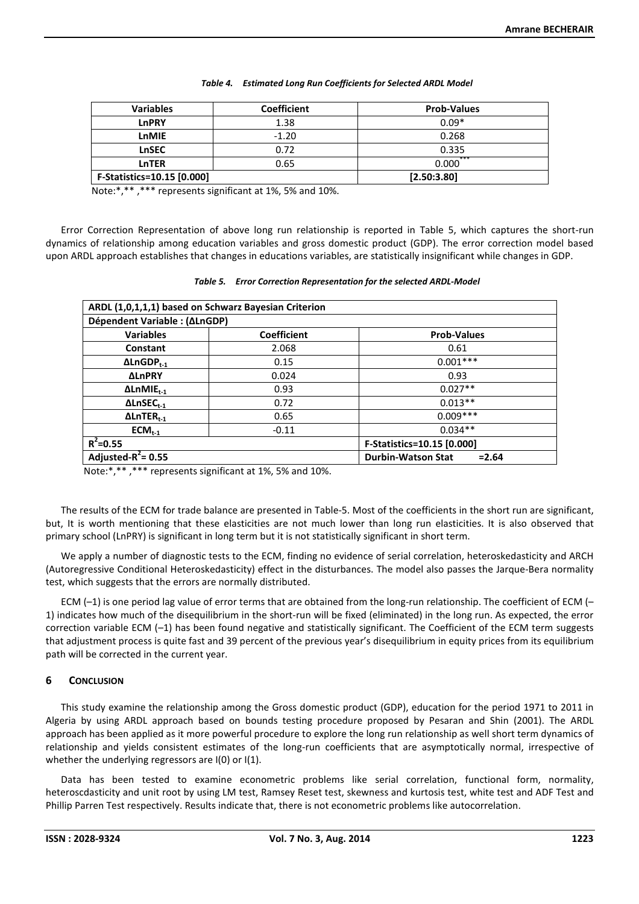| <b>Variables</b>           | <b>Coefficient</b> | <b>Prob-Values</b> |
|----------------------------|--------------------|--------------------|
| LnPRY                      | 1.38               | $0.09*$            |
| LnMIE                      | $-1.20$            | 0.268              |
| LnSEC                      | 0.72               | 0.335              |
| <b>LnTER</b>               | 0.65               | ***<br>0.000       |
| F-Statistics=10.15 [0.000] |                    | [2.50:3.80]        |

Note:\*,\*\* ,\*\*\* represents significant at 1%, 5% and 10%.

Error Correction Representation of above long run relationship is reported in Table 5, which captures the short-run dynamics of relationship among education variables and gross domestic product (GDP). The error correction model based upon ARDL approach establishes that changes in educations variables, are statistically insignificant while changes in GDP.

|  | Table 5. Error Correction Representation for the selected ARDL-Model |  |
|--|----------------------------------------------------------------------|--|
|--|----------------------------------------------------------------------|--|

| ARDL (1,0,1,1,1) based on Schwarz Bayesian Criterion |                    |                                       |  |
|------------------------------------------------------|--------------------|---------------------------------------|--|
| Dépendent Variable : (ΔLnGDP)                        |                    |                                       |  |
| <b>Variables</b>                                     | <b>Coefficient</b> | <b>Prob-Values</b>                    |  |
| Constant                                             | 2.068              | 0.61                                  |  |
| $\Delta$ LnGDP <sub>t-1</sub>                        | 0.15               | $0.001***$                            |  |
| <b>ALnPRY</b>                                        | 0.024              | 0.93                                  |  |
| $\Delta$ LnMIE <sub>t-1</sub>                        | 0.93               | $0.027**$                             |  |
| $\Delta$ LnSEC <sub>t-1</sub>                        | 0.72               | $0.013**$                             |  |
| $\Delta$ LnTER <sub>t-1</sub>                        | 0.65               | $0.009***$                            |  |
| $ECMt-1$                                             | $-0.11$            | $0.034**$                             |  |
| $R^2$ =0.55                                          |                    | F-Statistics=10.15 [0.000]            |  |
| Adjusted- $R^2$ = 0.55                               |                    | <b>Durbin-Watson Stat</b><br>$= 2.64$ |  |

Note:\*,\*\* ,\*\*\* represents significant at 1%, 5% and 10%.

The results of the ECM for trade balance are presented in Table-5. Most of the coefficients in the short run are significant, but, It is worth mentioning that these elasticities are not much lower than long run elasticities. It is also observed that primary school (LnPRY) is significant in long term but it is not statistically significant in short term.

We apply a number of diagnostic tests to the ECM, finding no evidence of serial correlation, heteroskedasticity and ARCH (Autoregressive Conditional Heteroskedasticity) effect in the disturbances. The model also passes the Jarque-Bera normality test, which suggests that the errors are normally distributed.

ECM (–1) is one period lag value of error terms that are obtained from the long-run relationship. The coefficient of ECM (– 1) indicates how much of the disequilibrium in the short-run will be fixed (eliminated) in the long run. As expected, the error correction variable ECM (–1) has been found negative and statistically significant. The Coefficient of the ECM term suggests that adjustment process is quite fast and 39 percent of the previous year's disequilibrium in equity prices from its equilibrium path will be corrected in the current year.

# **6 CONCLUSION**

This study examine the relationship among the Gross domestic product (GDP), education for the period 1971 to 2011 in Algeria by using ARDL approach based on bounds testing procedure proposed by Pesaran and Shin (2001). The ARDL approach has been applied as it more powerful procedure to explore the long run relationship as well short term dynamics of relationship and yields consistent estimates of the long-run coefficients that are asymptotically normal, irrespective of whether the underlying regressors are I(0) or I(1).

Data has been tested to examine econometric problems like serial correlation, functional form, normality, heteroscdasticity and unit root by using LM test, Ramsey Reset test, skewness and kurtosis test, white test and ADF Test and Phillip Parren Test respectively. Results indicate that, there is not econometric problems like autocorrelation.